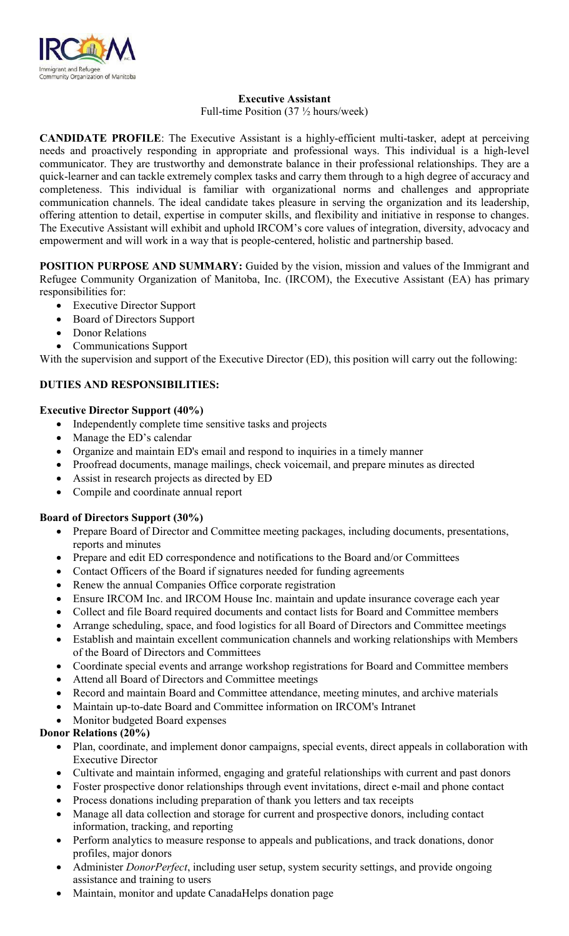

### **Executive Assistant**

Full-time Position (37 ½ hours/week)

**CANDIDATE PROFILE**: The Executive Assistant is a highly-efficient multi-tasker, adept at perceiving needs and proactively responding in appropriate and professional ways. This individual is a high-level communicator. They are trustworthy and demonstrate balance in their professional relationships. They are a quick-learner and can tackle extremely complex tasks and carry them through to a high degree of accuracy and completeness. This individual is familiar with organizational norms and challenges and appropriate communication channels. The ideal candidate takes pleasure in serving the organization and its leadership, offering attention to detail, expertise in computer skills, and flexibility and initiative in response to changes. The Executive Assistant will exhibit and uphold IRCOM's core values of integration, diversity, advocacy and empowerment and will work in a way that is people-centered, holistic and partnership based.

**POSITION PURPOSE AND SUMMARY:** Guided by the vision, mission and values of the Immigrant and Refugee Community Organization of Manitoba, Inc. (IRCOM), the Executive Assistant (EA) has primary responsibilities for:

- Executive Director Support
- Board of Directors Support
- Donor Relations
- Communications Support

With the supervision and support of the Executive Director (ED), this position will carry out the following:

## **DUTIES AND RESPONSIBILITIES:**

#### **Executive Director Support (40%)**

- Independently complete time sensitive tasks and projects
- Manage the ED's calendar
- Organize and maintain ED's email and respond to inquiries in a timely manner
- Proofread documents, manage mailings, check voicemail, and prepare minutes as directed
- Assist in research projects as directed by ED
- Compile and coordinate annual report

#### **Board of Directors Support (30%)**

- Prepare Board of Director and Committee meeting packages, including documents, presentations, reports and minutes
- Prepare and edit ED correspondence and notifications to the Board and/or Committees
- Contact Officers of the Board if signatures needed for funding agreements
- Renew the annual Companies Office corporate registration
- Ensure IRCOM Inc. and IRCOM House Inc. maintain and update insurance coverage each year
- Collect and file Board required documents and contact lists for Board and Committee members
- Arrange scheduling, space, and food logistics for all Board of Directors and Committee meetings
- Establish and maintain excellent communication channels and working relationships with Members of the Board of Directors and Committees
- Coordinate special events and arrange workshop registrations for Board and Committee members
- Attend all Board of Directors and Committee meetings
- Record and maintain Board and Committee attendance, meeting minutes, and archive materials
- Maintain up-to-date Board and Committee information on IRCOM's Intranet
- Monitor budgeted Board expenses

### **Donor Relations (20%)**

- Plan, coordinate, and implement donor campaigns, special events, direct appeals in collaboration with Executive Director
- Cultivate and maintain informed, engaging and grateful relationships with current and past donors
- Foster prospective donor relationships through event invitations, direct e-mail and phone contact
- Process donations including preparation of thank you letters and tax receipts
- Manage all data collection and storage for current and prospective donors, including contact information, tracking, and reporting
- Perform analytics to measure response to appeals and publications, and track donations, donor profiles, major donors
- Administer *DonorPerfect*, including user setup, system security settings, and provide ongoing assistance and training to users
- Maintain, monitor and update CanadaHelps donation page